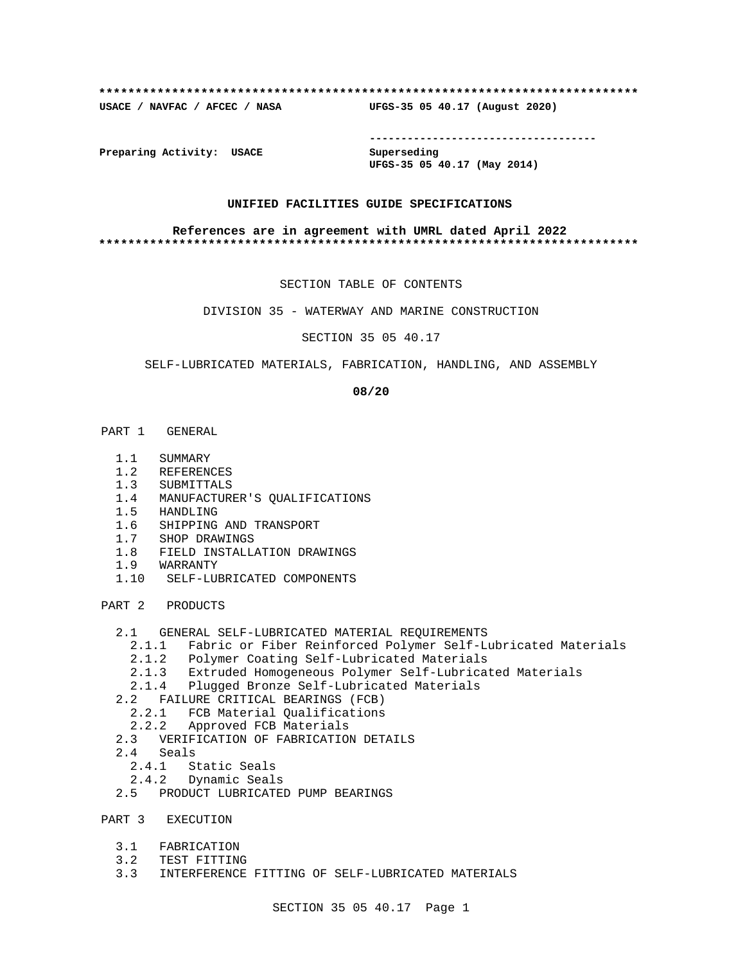## **\*\*\*\*\*\*\*\*\*\*\*\*\*\*\*\*\*\*\*\*\*\*\*\*\*\*\*\*\*\*\*\*\*\*\*\*\*\*\*\*\*\*\*\*\*\*\*\*\*\*\*\*\*\*\*\*\*\*\*\*\*\*\*\*\*\*\*\*\*\*\*\*\*\***

**USACE / NAVFAC / AFCEC / NASA UFGS-35 05 40.17 (August 2020)**

**------------------------------------**

**Preparing Activity: USACE Superseding**

**UFGS-35 05 40.17 (May 2014)**

## **UNIFIED FACILITIES GUIDE SPECIFICATIONS**

### **References are in agreement with UMRL dated April 2022 \*\*\*\*\*\*\*\*\*\*\*\*\*\*\*\*\*\*\*\*\*\*\*\*\*\*\*\*\*\*\*\*\*\*\*\*\*\*\*\*\*\*\*\*\*\*\*\*\*\*\*\*\*\*\*\*\*\*\*\*\*\*\*\*\*\*\*\*\*\*\*\*\*\***

SECTION TABLE OF CONTENTS

DIVISION 35 - WATERWAY AND MARINE CONSTRUCTION

SECTION 35 05 40.17

SELF-LUBRICATED MATERIALS, FABRICATION, HANDLING, AND ASSEMBLY

**08/20**

- PART 1 GENERAL
	- 1.1 SUMMARY
	- 1.2 REFERENCES
	- 1.3 SUBMITTALS
	- 1.4 MANUFACTURER'S QUALIFICATIONS
	- 1.5 HANDLING
	- 1.6 SHIPPING AND TRANSPORT
	- 1.7 SHOP DRAWINGS
	- 1.8 FIELD INSTALLATION DRAWINGS
	- 1.9 WARRANTY
	- 1.10 SELF-LUBRICATED COMPONENTS

PART 2 PRODUCTS

- 2.1 GENERAL SELF-LUBRICATED MATERIAL REQUIREMENTS
	- 2.1.1 Fabric or Fiber Reinforced Polymer Self-Lubricated Materials
	- 2.1.2 Polymer Coating Self-Lubricated Materials
	- 2.1.3 Extruded Homogeneous Polymer Self-Lubricated Materials
	- 2.1.4 Plugged Bronze Self-Lubricated Materials
- 2.2 FAILURE CRITICAL BEARINGS (FCB)
- 2.2.1 FCB Material Qualifications
- 2.2.2 Approved FCB Materials
	- 2.3 VERIFICATION OF FABRICATION DETAILS
	- 2.4 Seals
		- 2.4.1 Static Seals
		- 2.4.2 Dynamic Seals
	- 2.5 PRODUCT LUBRICATED PUMP BEARINGS

PART 3 EXECUTION

- 3.1 FABRICATION
- 3.2 TEST FITTING
- 3.3 INTERFERENCE FITTING OF SELF-LUBRICATED MATERIALS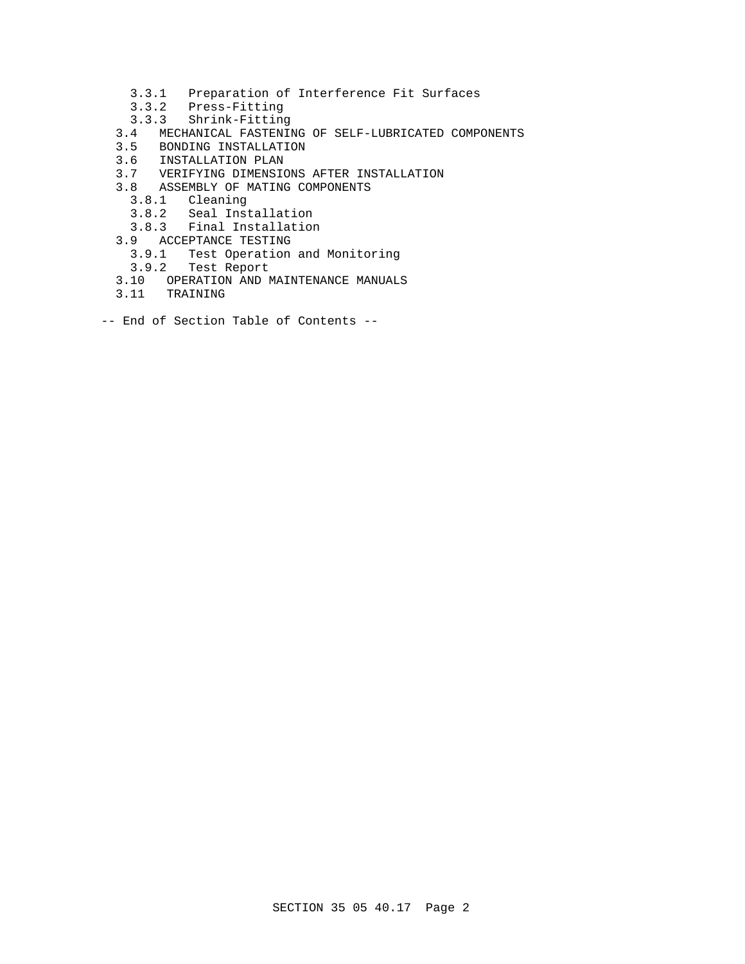- 3.3.1 Preparation of Interference Fit Surfaces
- 3.3.2 Press-Fitting
- 3.3.3 Shrink-Fitting
- 3.4 MECHANICAL FASTENING OF SELF-LUBRICATED COMPONENTS
- 3.5 BONDING INSTALLATION
- 3.6 INSTALLATION PLAN<br>3.7 VERIFYING DIMENSIO
- 3.7 VERIFYING DIMENSIONS AFTER INSTALLATION
- 3.8 ASSEMBLY OF MATING COMPONENTS
	- 3.8.1 Cleaning
	- 3.8.2 Seal Installation
	- 3.8.3 Final Installation
- 3.9 ACCEPTANCE TESTING
	- 3.9.1 Test Operation and Monitoring
	- 3.9.2 Test Report
- 3.10 OPERATION AND MAINTENANCE MANUALS
- 3.11 TRAINING
- -- End of Section Table of Contents --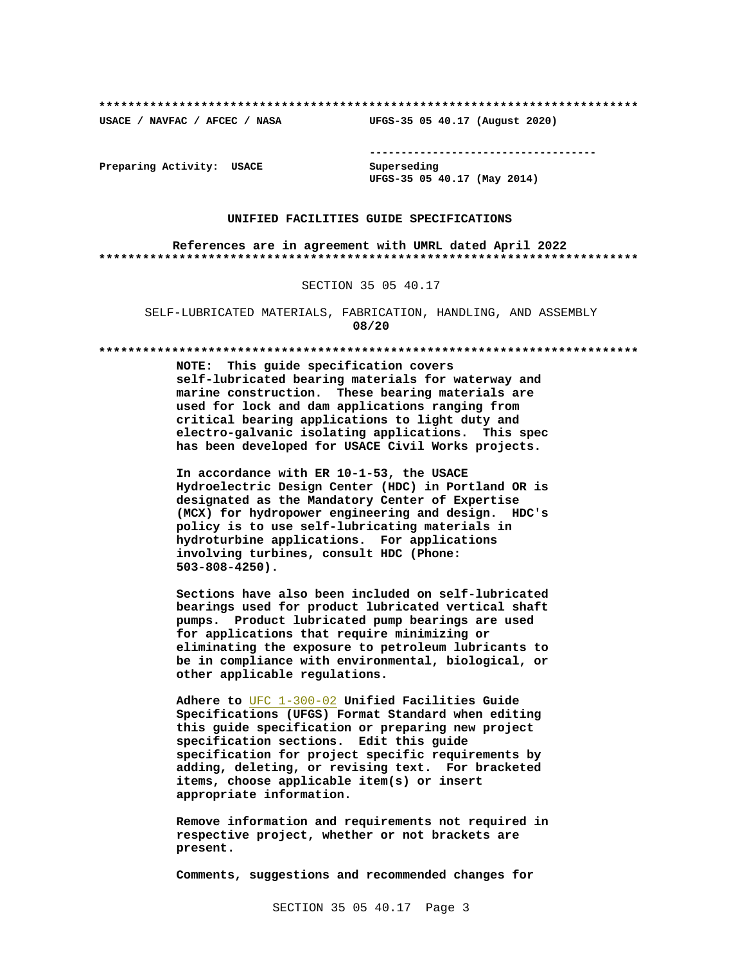**\*\*\*\*\*\*\*\*\*\*\*\*\*\*\*\*\*\*\*\*\*\*\*\*\*\*\*\*\*\*\*\*\*\*\*\*\*\*\*\*\*\*\*\*\*\*\*\*\*\*\*\*\*\*\*\*\*\*\*\*\*\*\*\*\*\*\*\*\*\*\*\*\*\***

**USACE / NAVFAC / AFCEC / NASA UFGS-35 05 40.17 (August 2020)**

**------------------------------------**

**Preparing Activity: USACE Superseding**

**UFGS-35 05 40.17 (May 2014)**

### **UNIFIED FACILITIES GUIDE SPECIFICATIONS**

**References are in agreement with UMRL dated April 2022 \*\*\*\*\*\*\*\*\*\*\*\*\*\*\*\*\*\*\*\*\*\*\*\*\*\*\*\*\*\*\*\*\*\*\*\*\*\*\*\*\*\*\*\*\*\*\*\*\*\*\*\*\*\*\*\*\*\*\*\*\*\*\*\*\*\*\*\*\*\*\*\*\*\***

### SECTION 35 05 40.17

SELF-LUBRICATED MATERIALS, FABRICATION, HANDLING, AND ASSEMBLY **08/20**

#### **\*\*\*\*\*\*\*\*\*\*\*\*\*\*\*\*\*\*\*\*\*\*\*\*\*\*\*\*\*\*\*\*\*\*\*\*\*\*\*\*\*\*\*\*\*\*\*\*\*\*\*\*\*\*\*\*\*\*\*\*\*\*\*\*\*\*\*\*\*\*\*\*\*\***

**NOTE: This guide specification covers self-lubricated bearing materials for waterway and marine construction. These bearing materials are used for lock and dam applications ranging from critical bearing applications to light duty and electro-galvanic isolating applications. This spec has been developed for USACE Civil Works projects.**

**In accordance with ER 10-1-53, the USACE Hydroelectric Design Center (HDC) in Portland OR is designated as the Mandatory Center of Expertise (MCX) for hydropower engineering and design. HDC's policy is to use self-lubricating materials in hydroturbine applications. For applications involving turbines, consult HDC (Phone: 503-808-4250).** 

**Sections have also been included on self-lubricated bearings used for product lubricated vertical shaft pumps. Product lubricated pump bearings are used for applications that require minimizing or eliminating the exposure to petroleum lubricants to be in compliance with environmental, biological, or other applicable regulations.**

**Adhere to** UFC 1-300-02 **Unified Facilities Guide Specifications (UFGS) Format Standard when editing this guide specification or preparing new project specification sections. Edit this guide specification for project specific requirements by adding, deleting, or revising text. For bracketed items, choose applicable item(s) or insert appropriate information.**

**Remove information and requirements not required in respective project, whether or not brackets are present.**

**Comments, suggestions and recommended changes for**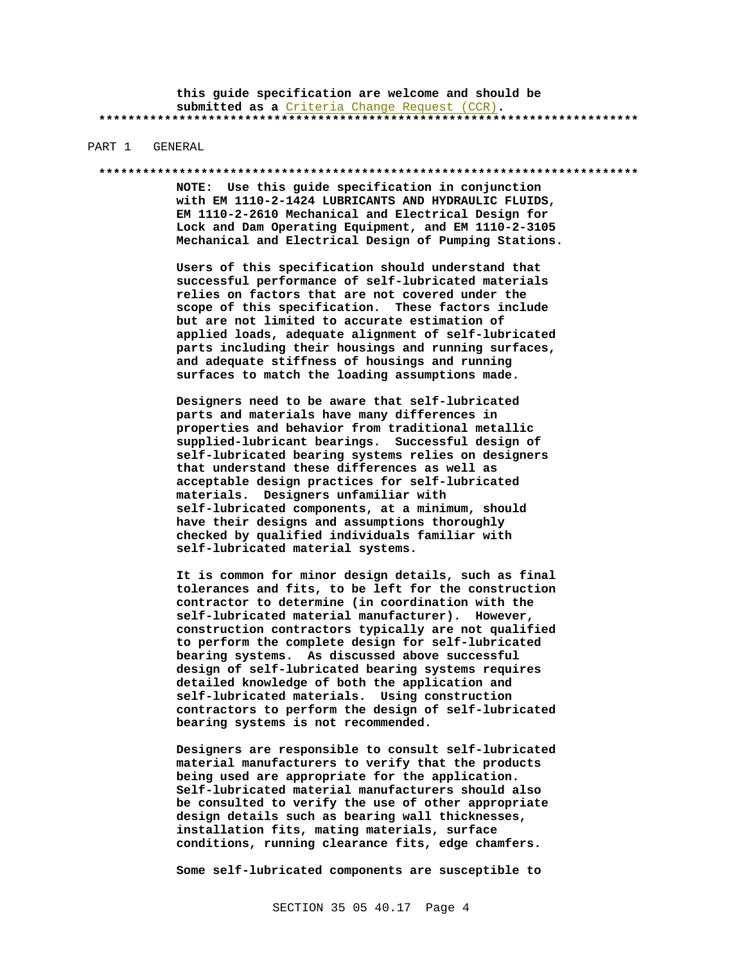**this guide specification are welcome and should be submitted as a** Criteria Change Request (CCR)**. \*\*\*\*\*\*\*\*\*\*\*\*\*\*\*\*\*\*\*\*\*\*\*\*\*\*\*\*\*\*\*\*\*\*\*\*\*\*\*\*\*\*\*\*\*\*\*\*\*\*\*\*\*\*\*\*\*\*\*\*\*\*\*\*\*\*\*\*\*\*\*\*\*\***

### PART 1 GENERAL

#### **\*\*\*\*\*\*\*\*\*\*\*\*\*\*\*\*\*\*\*\*\*\*\*\*\*\*\*\*\*\*\*\*\*\*\*\*\*\*\*\*\*\*\*\*\*\*\*\*\*\*\*\*\*\*\*\*\*\*\*\*\*\*\*\*\*\*\*\*\*\*\*\*\*\***

**NOTE: Use this guide specification in conjunction with EM 1110-2-1424 LUBRICANTS AND HYDRAULIC FLUIDS, EM 1110-2-2610 Mechanical and Electrical Design for Lock and Dam Operating Equipment, and EM 1110-2-3105 Mechanical and Electrical Design of Pumping Stations.**

**Users of this specification should understand that successful performance of self-lubricated materials relies on factors that are not covered under the scope of this specification. These factors include but are not limited to accurate estimation of applied loads, adequate alignment of self-lubricated parts including their housings and running surfaces, and adequate stiffness of housings and running surfaces to match the loading assumptions made.**

**Designers need to be aware that self-lubricated parts and materials have many differences in properties and behavior from traditional metallic supplied-lubricant bearings. Successful design of self-lubricated bearing systems relies on designers that understand these differences as well as acceptable design practices for self-lubricated materials. Designers unfamiliar with self-lubricated components, at a minimum, should have their designs and assumptions thoroughly checked by qualified individuals familiar with self-lubricated material systems.**

**It is common for minor design details, such as final tolerances and fits, to be left for the construction contractor to determine (in coordination with the self-lubricated material manufacturer). However, construction contractors typically are not qualified to perform the complete design for self-lubricated bearing systems. As discussed above successful design of self-lubricated bearing systems requires detailed knowledge of both the application and self-lubricated materials. Using construction contractors to perform the design of self-lubricated bearing systems is not recommended.**

**Designers are responsible to consult self-lubricated material manufacturers to verify that the products being used are appropriate for the application. Self-lubricated material manufacturers should also be consulted to verify the use of other appropriate design details such as bearing wall thicknesses, installation fits, mating materials, surface conditions, running clearance fits, edge chamfers.**

**Some self-lubricated components are susceptible to**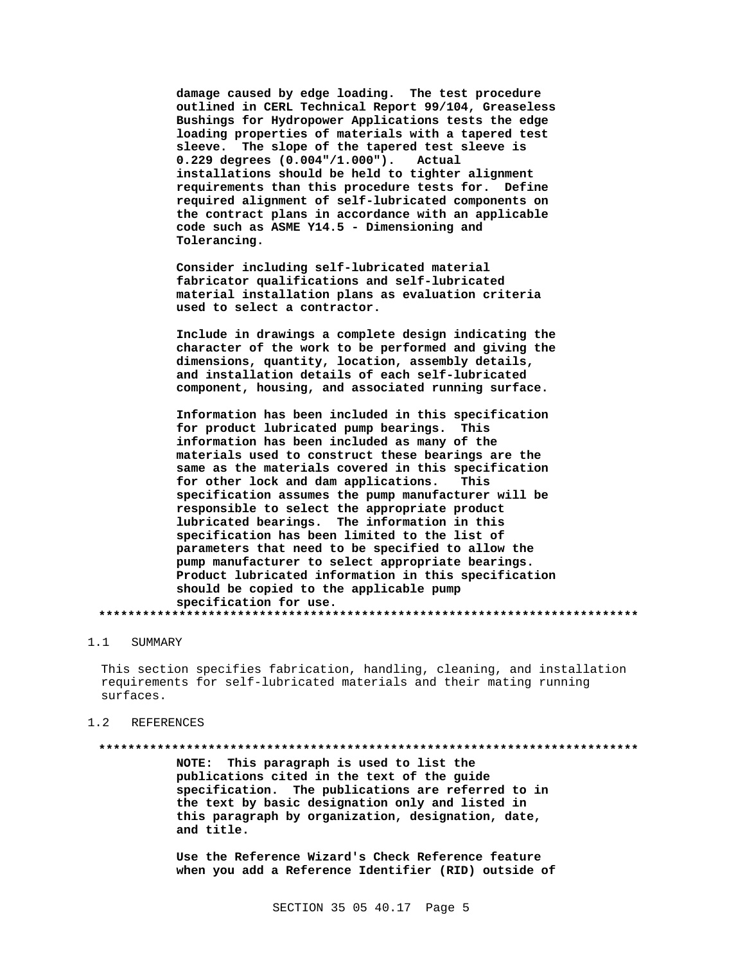damage caused by edge loading. The test procedure outlined in CERL Technical Report 99/104, Greaseless Bushings for Hydropower Applications tests the edge loading properties of materials with a tapered test sleeve. The slope of the tapered test sleeve is  $0.229$  degrees  $(0.004" / 1.000")$ . Actual installations should be held to tighter alignment requirements than this procedure tests for. Define required alignment of self-lubricated components on the contract plans in accordance with an applicable code such as ASME Y14.5 - Dimensioning and Tolerancing.

Consider including self-lubricated material fabricator qualifications and self-lubricated material installation plans as evaluation criteria used to select a contractor.

Include in drawings a complete design indicating the character of the work to be performed and giving the dimensions, quantity, location, assembly details, and installation details of each self-lubricated component, housing, and associated running surface.

Information has been included in this specification for product lubricated pump bearings. This information has been included as many of the materials used to construct these bearings are the same as the materials covered in this specification for other lock and dam applications. This specification assumes the pump manufacturer will be responsible to select the appropriate product lubricated bearings. The information in this specification has been limited to the list of parameters that need to be specified to allow the pump manufacturer to select appropriate bearings. Product lubricated information in this specification should be copied to the applicable pump specification for use. 

#### $1.1$ SUMMARY

This section specifies fabrication, handling, cleaning, and installation requirements for self-lubricated materials and their mating running surfaces.

#### **REFERENCES**  $1.2$

NOTE: This paragraph is used to list the publications cited in the text of the guide specification. The publications are referred to in the text by basic designation only and listed in this paragraph by organization, designation, date, and title.

Use the Reference Wizard's Check Reference feature when you add a Reference Identifier (RID) outside of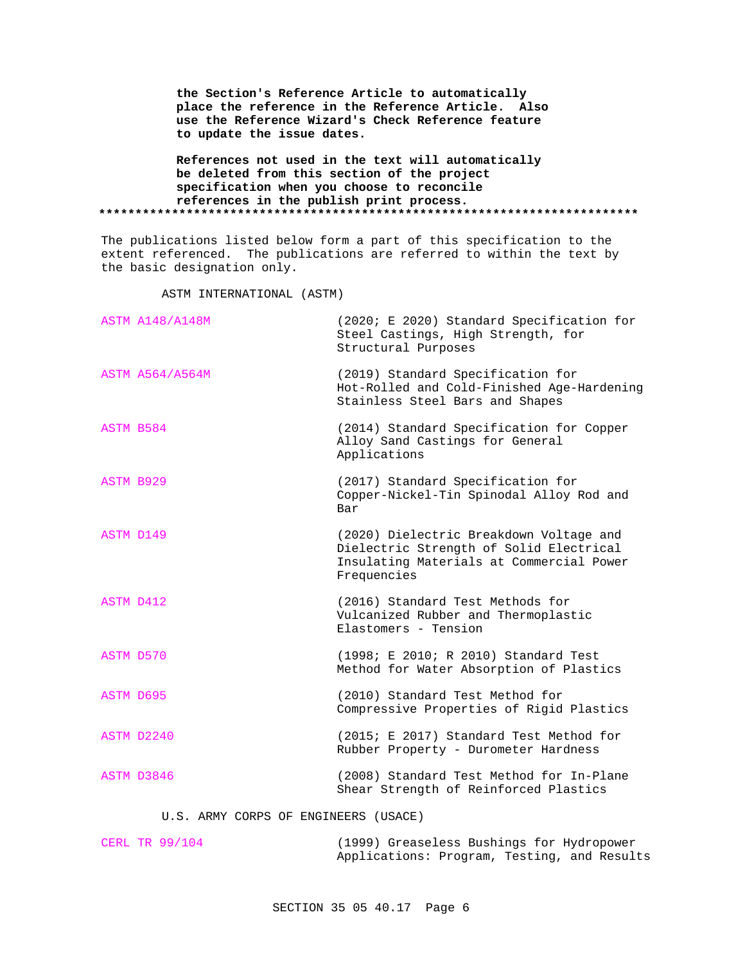| the Section's Reference Article to automatically<br>place the reference in the Reference Article. Also<br>use the Reference Wizard's Check Reference feature<br>to update the issue dates. |  |
|--------------------------------------------------------------------------------------------------------------------------------------------------------------------------------------------|--|
| References not used in the text will automatically<br>be deleted from this section of the project<br>specification when you choose to reconcile                                            |  |
| references in the publish print process.                                                                                                                                                   |  |

The publications listed below form a part of this specification to the extent referenced. The publications are referred to within the text by the basic designation only.

ASTM INTERNATIONAL (ASTM)

| <b>ASTM A148/A148M</b> | (2020; E 2020) Standard Specification for<br>Steel Castings, High Strength, for<br>Structural Purposes                                        |
|------------------------|-----------------------------------------------------------------------------------------------------------------------------------------------|
| <b>ASTM A564/A564M</b> | (2019) Standard Specification for<br>Hot-Rolled and Cold-Finished Age-Hardening<br>Stainless Steel Bars and Shapes                            |
| ASTM B584              | (2014) Standard Specification for Copper<br>Alloy Sand Castings for General<br>Applications                                                   |
| ASTM B929              | (2017) Standard Specification for<br>Copper-Nickel-Tin Spinodal Alloy Rod and<br>Bar                                                          |
| ASTM D149              | (2020) Dielectric Breakdown Voltage and<br>Dielectric Strength of Solid Electrical<br>Insulating Materials at Commercial Power<br>Frequencies |
| ASTM D412              | (2016) Standard Test Methods for<br>Vulcanized Rubber and Thermoplastic<br>Elastomers - Tension                                               |
| ASTM D570              | (1998; E 2010; R 2010) Standard Test<br>Method for Water Absorption of Plastics                                                               |
| ASTM D695              | (2010) Standard Test Method for<br>Compressive Properties of Rigid Plastics                                                                   |
| ASTM D2240             | (2015; E 2017) Standard Test Method for<br>Rubber Property - Durometer Hardness                                                               |
| ASTM D3846             | (2008) Standard Test Method for In-Plane<br>Shear Strength of Reinforced Plastics                                                             |
|                        |                                                                                                                                               |

U.S. ARMY CORPS OF ENGINEERS (USACE)

| CERL TR 99/104 |  | (1999) Greaseless Bushings for Hydropower   |  |
|----------------|--|---------------------------------------------|--|
|                |  | Applications: Program, Testing, and Results |  |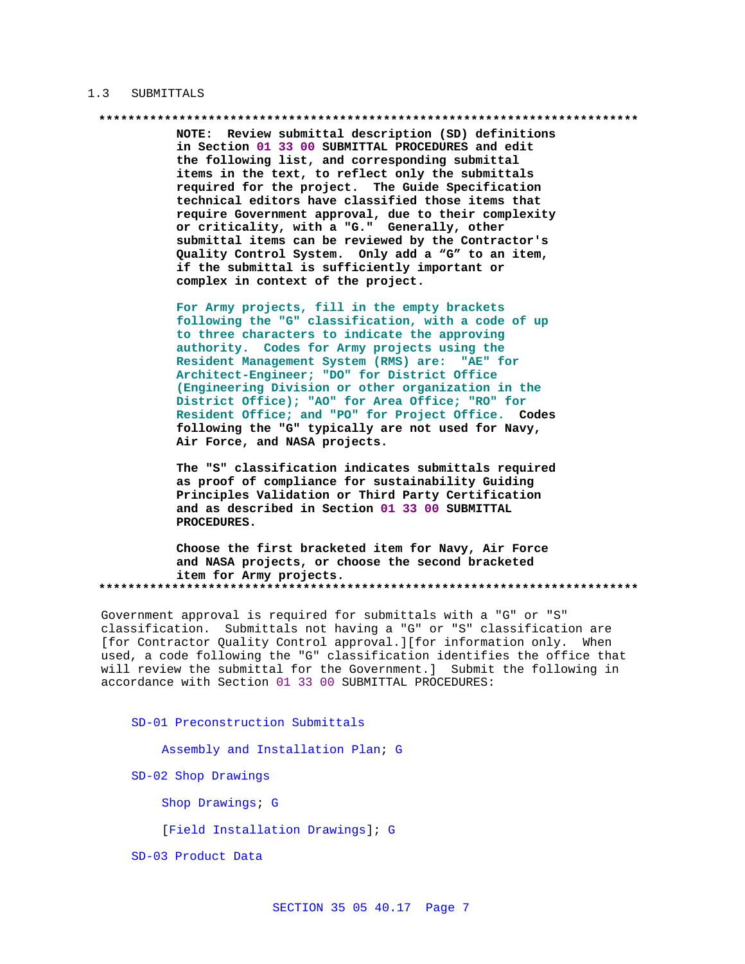### 1.3 SUBMITTALS

NOTE: Review submittal description (SD) definitions in Section 01 33 00 SUBMITTAL PROCEDURES and edit the following list, and corresponding submittal items in the text, to reflect only the submittals required for the project. The Guide Specification technical editors have classified those items that require Government approval, due to their complexity or criticality, with a "G." Generally, other submittal items can be reviewed by the Contractor's Quality Control System. Only add a "G" to an item, if the submittal is sufficiently important or complex in context of the project.

For Army projects, fill in the empty brackets following the "G" classification, with a code of up to three characters to indicate the approving authority. Codes for Army projects using the Resident Management System (RMS) are: "AE" for Architect-Engineer; "DO" for District Office (Engineering Division or other organization in the District Office); "AO" for Area Office; "RO" for Resident Office; and "PO" for Project Office. Codes following the "G" typically are not used for Navy, Air Force, and NASA projects.

The "S" classification indicates submittals required as proof of compliance for sustainability Guiding Principles Validation or Third Party Certification and as described in Section 01 33 00 SUBMITTAL PROCEDURES.

Choose the first bracketed item for Navy, Air Force and NASA projects, or choose the second bracketed item for Army projects. 

Government approval is required for submittals with a "G" or "S" classification. Submittals not having a "G" or "S" classification are [for Contractor Quality Control approval.][for information only. When used, a code following the "G" classification identifies the office that will review the submittal for the Government.] Submit the following in accordance with Section 01 33 00 SUBMITTAL PROCEDURES:

SD-01 Preconstruction Submittals

Assembly and Installation Plan; G

SD-02 Shop Drawings

Shop Drawings; G

[Field Installation Drawings]; G

SD-03 Product Data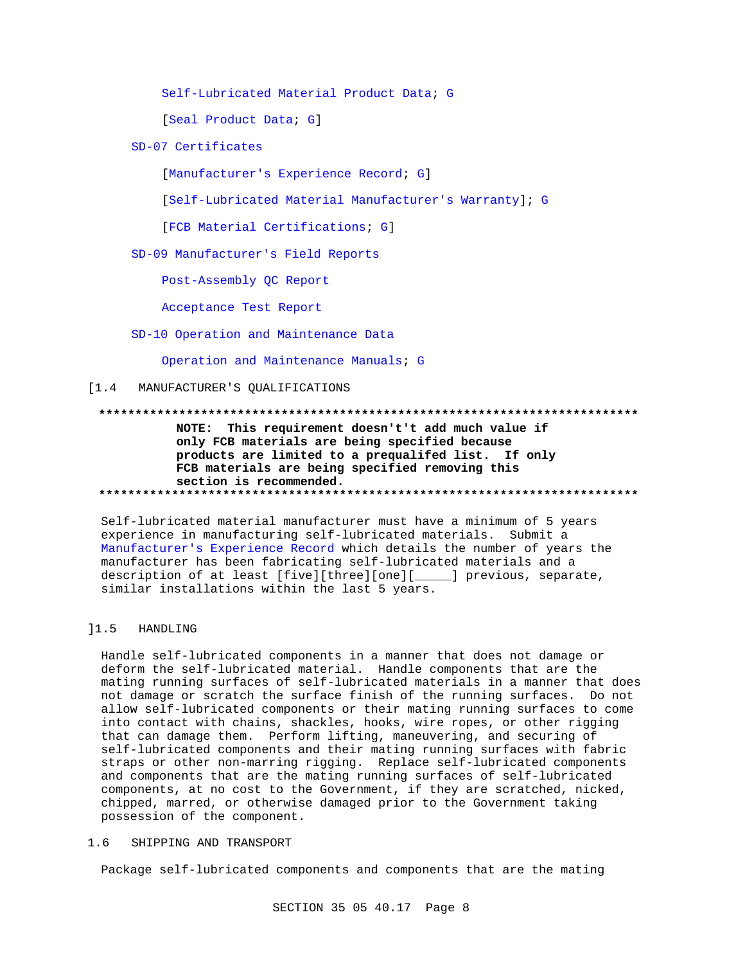Self-Lubricated Material Product Data; G

[Seal Product Data; G]

SD-07 Certificates

[Manufacturer's Experience Record; G]

[Self-Lubricated Material Manufacturer's Warranty]; G

[FCB Material Certifications; G]

SD-09 Manufacturer's Field Reports

Post-Assembly QC Report

Acceptance Test Report

SD-10 Operation and Maintenance Data

Operation and Maintenance Manuals; G

[1.4 MANUFACTURER'S QUALIFICATIONS

## NOTE: This requirement doesn't't add much value if

only FCB materials are being specified because products are limited to a prequalifed list. If only FCB materials are being specified removing this section is recommended. 

Self-lubricated material manufacturer must have a minimum of 5 years experience in manufacturing self-lubricated materials. Submit a Manufacturer's Experience Record which details the number of years the manufacturer has been fabricating self-lubricated materials and a description of at least [five][three][one][\_\_\_\_\_] previous, separate, similar installations within the last 5 years.

#### $11.5$ HANDLING

Handle self-lubricated components in a manner that does not damage or deform the self-lubricated material. Handle components that are the mating running surfaces of self-lubricated materials in a manner that does not damage or scratch the surface finish of the running surfaces. Do not allow self-lubricated components or their mating running surfaces to come into contact with chains, shackles, hooks, wire ropes, or other rigging that can damage them. Perform lifting, maneuvering, and securing of self-lubricated components and their mating running surfaces with fabric straps or other non-marring rigging. Replace self-lubricated components and components that are the mating running surfaces of self-lubricated components, at no cost to the Government, if they are scratched, nicked, chipped, marred, or otherwise damaged prior to the Government taking possession of the component.

#### SHIPPING AND TRANSPORT  $1<sub>6</sub>$

Package self-lubricated components and components that are the mating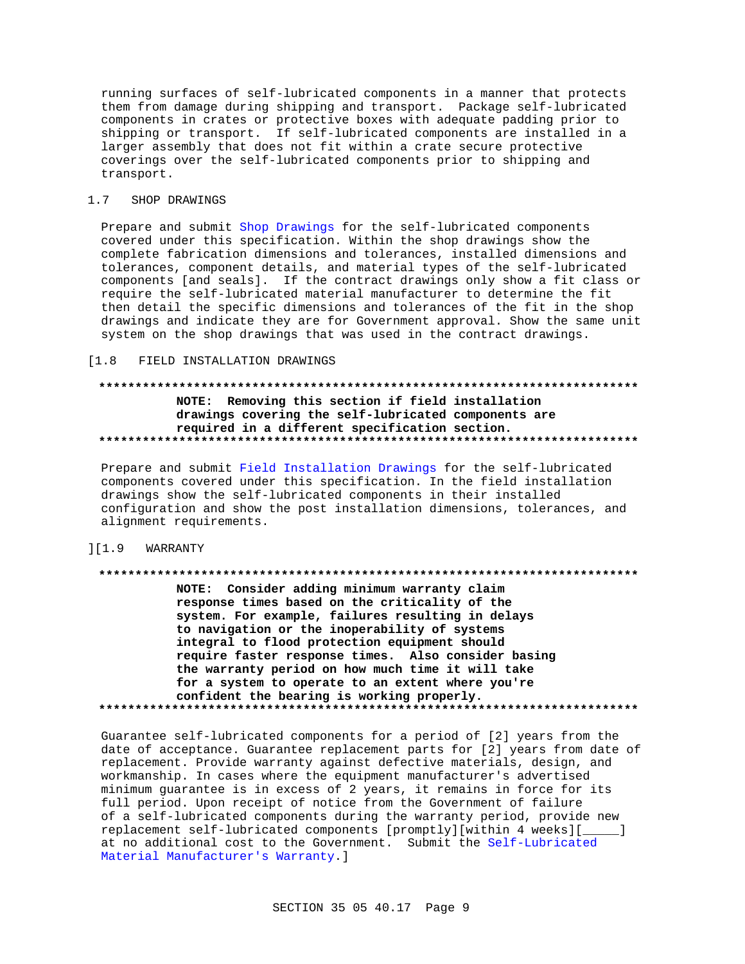running surfaces of self-lubricated components in a manner that protects them from damage during shipping and transport. Package self-lubricated components in crates or protective boxes with adequate padding prior to shipping or transport. If self-lubricated components are installed in a larger assembly that does not fit within a crate secure protective coverings over the self-lubricated components prior to shipping and transport.

#### $1.7$ SHOP DRAWINGS

Prepare and submit Shop Drawings for the self-lubricated components covered under this specification. Within the shop drawings show the complete fabrication dimensions and tolerances, installed dimensions and tolerances, component details, and material types of the self-lubricated components [and seals]. If the contract drawings only show a fit class or require the self-lubricated material manufacturer to determine the fit then detail the specific dimensions and tolerances of the fit in the shop drawings and indicate they are for Government approval. Show the same unit system on the shop drawings that was used in the contract drawings.

#### $[1.8]$ FIELD INSTALLATION DRAWINGS

## NOTE: Removing this section if field installation drawings covering the self-lubricated components are required in a different specification section.

Prepare and submit Field Installation Drawings for the self-lubricated components covered under this specification. In the field installation drawings show the self-lubricated components in their installed configuration and show the post installation dimensions, tolerances, and alignment requirements.

#### $]$ [1.9] WARRANTY

## NOTE: Consider adding minimum warranty claim response times based on the criticality of the

system. For example, failures resulting in delays to navigation or the inoperability of systems integral to flood protection equipment should require faster response times. Also consider basing the warranty period on how much time it will take for a system to operate to an extent where you're confident the bearing is working properly. 

Guarantee self-lubricated components for a period of [2] years from the date of acceptance. Guarantee replacement parts for [2] years from date of replacement. Provide warranty against defective materials, design, and workmanship. In cases where the equipment manufacturer's advertised minimum guarantee is in excess of 2 years, it remains in force for its full period. Upon receipt of notice from the Government of failure of a self-lubricated components during the warranty period, provide new replacement self-lubricated components [promptly][within 4 weeks][  $\overline{\phantom{0}}$ at no additional cost to the Government. Submit the Self-Lubricated Material Manufacturer's Warranty. ]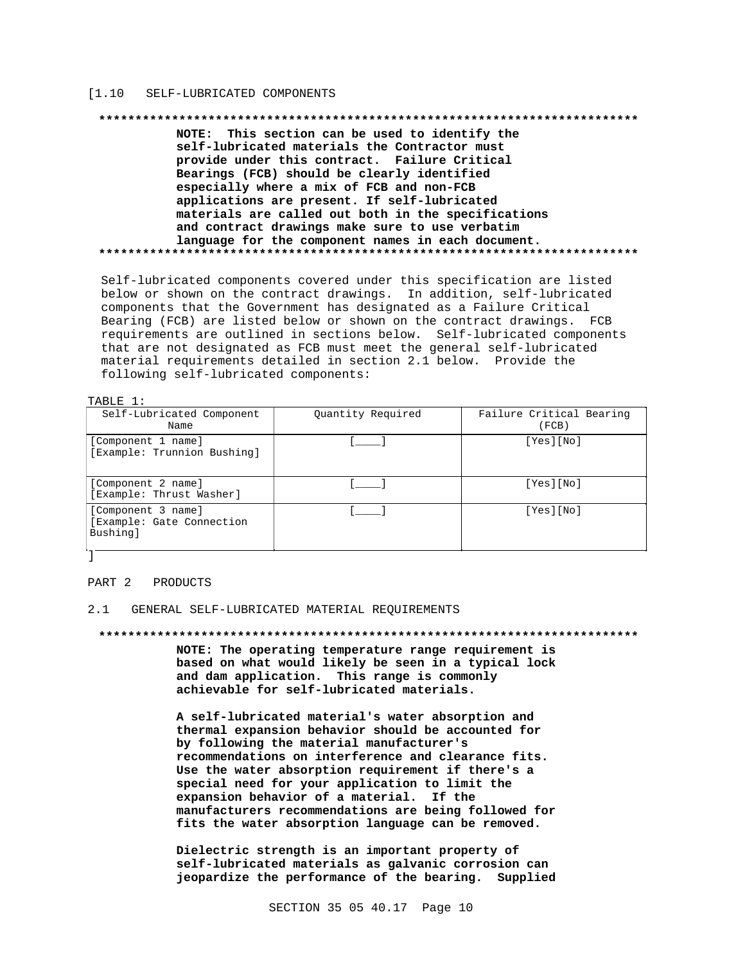#### $[1.10]$ SELF-LUBRICATED COMPONENTS

#### 

NOTE: This section can be used to identify the self-lubricated materials the Contractor must provide under this contract. Failure Critical Bearings (FCB) should be clearly identified especially where a mix of FCB and non-FCB applications are present. If self-lubricated materials are called out both in the specifications and contract drawings make sure to use verbatim language for the component names in each document. 

Self-lubricated components covered under this specification are listed below or shown on the contract drawings. In addition, self-lubricated components that the Government has designated as a Failure Critical Bearing (FCB) are listed below or shown on the contract drawings. FCB requirements are outlined in sections below. Self-lubricated components that are not designated as FCB must meet the general self-lubricated material requirements detailed in section 2.1 below. Provide the following self-lubricated components:

### TABLE 1:

| Self-Lubricated Component<br>Name                           | Quantity Required | Failure Critical Bearing<br>(FCB) |
|-------------------------------------------------------------|-------------------|-----------------------------------|
| [Component 1 name]<br>[Example: Trunnion Bushing]           |                   | [Yes][No]                         |
| [Component 2 name]<br>[Example: Thrust Washer]              |                   | [Yes][No]                         |
| [Component 3 name]<br>[Example: Gate Connection<br>Bushing] |                   | [Yes][No]                         |

#### PART 2 PRODUCTS

### 2.1 GENERAL SELF-LUBRICATED MATERIAL REQUIREMENTS

### 

NOTE: The operating temperature range requirement is based on what would likely be seen in a typical lock and dam application. This range is commonly achievable for self-lubricated materials.

A self-lubricated material's water absorption and thermal expansion behavior should be accounted for by following the material manufacturer's recommendations on interference and clearance fits. Use the water absorption requirement if there's a special need for your application to limit the expansion behavior of a material. If the manufacturers recommendations are being followed for fits the water absorption language can be removed.

Dielectric strength is an important property of self-lubricated materials as galvanic corrosion can jeopardize the performance of the bearing. Supplied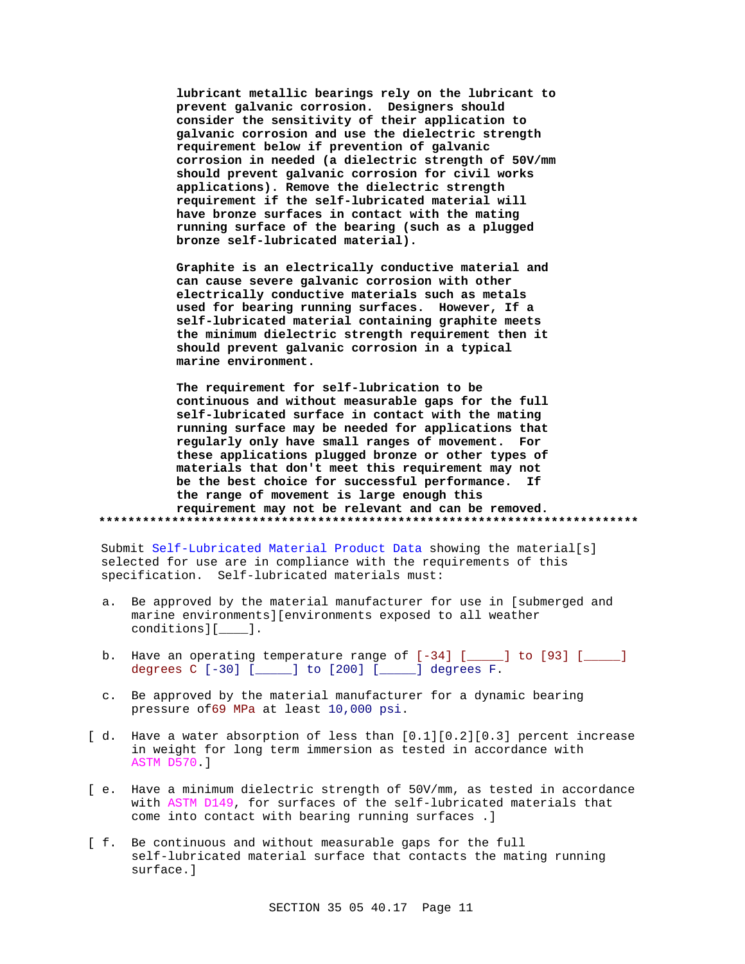**lubricant metallic bearings rely on the lubricant to prevent galvanic corrosion. Designers should consider the sensitivity of their application to galvanic corrosion and use the dielectric strength requirement below if prevention of galvanic corrosion in needed (a dielectric strength of 50V/mm should prevent galvanic corrosion for civil works applications). Remove the dielectric strength requirement if the self-lubricated material will have bronze surfaces in contact with the mating running surface of the bearing (such as a plugged bronze self-lubricated material).**

**Graphite is an electrically conductive material and can cause severe galvanic corrosion with other electrically conductive materials such as metals used for bearing running surfaces. However, If a self-lubricated material containing graphite meets the minimum dielectric strength requirement then it should prevent galvanic corrosion in a typical marine environment.**

**The requirement for self-lubrication to be continuous and without measurable gaps for the full self-lubricated surface in contact with the mating running surface may be needed for applications that regularly only have small ranges of movement. For these applications plugged bronze or other types of materials that don't meet this requirement may not be the best choice for successful performance. If the range of movement is large enough this requirement may not be relevant and can be removed. \*\*\*\*\*\*\*\*\*\*\*\*\*\*\*\*\*\*\*\*\*\*\*\*\*\*\*\*\*\*\*\*\*\*\*\*\*\*\*\*\*\*\*\*\*\*\*\*\*\*\*\*\*\*\*\*\*\*\*\*\*\*\*\*\*\*\*\*\*\*\*\*\*\***

Submit Self-Lubricated Material Product Data showing the material[s] selected for use are in compliance with the requirements of this specification. Self-lubricated materials must:

- a. Be approved by the material manufacturer for use in [submerged and marine environments][environments exposed to all weather conditions][\_\_\_\_].
- b. Have an operating temperature range of  $[-34]$  [ $\qquad$ ] to [93] [ $\qquad$ ] degrees C [-30] [\_\_\_\_\_] to [200] [\_\_\_\_\_] degrees F.
- c. Be approved by the material manufacturer for a dynamic bearing pressure of69 MPa at least 10,000 psi.
- [ d. Have a water absorption of less than  $[0.1][0.2][0.3]$  percent increase in weight for long term immersion as tested in accordance with ASTM D570.]
- [ e. Have a minimum dielectric strength of 50V/mm, as tested in accordance with ASTM D149, for surfaces of the self-lubricated materials that come into contact with bearing running surfaces .]
- [ f. Be continuous and without measurable gaps for the full self-lubricated material surface that contacts the mating running surface.]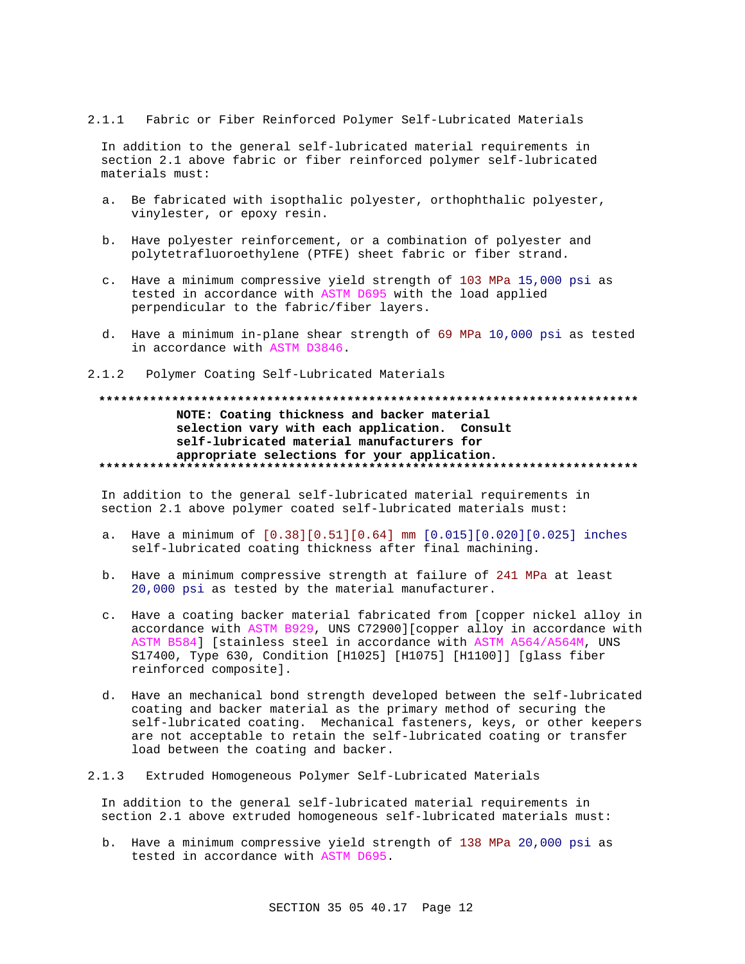## 2.1.1 Fabric or Fiber Reinforced Polymer Self-Lubricated Materials

In addition to the general self-lubricated material requirements in section 2.1 above fabric or fiber reinforced polymer self-lubricated materials must:

- a. Be fabricated with isopthalic polyester, orthophthalic polyester, vinylester, or epoxy resin.
- b. Have polyester reinforcement, or a combination of polyester and polytetrafluoroethylene (PTFE) sheet fabric or fiber strand.
- c. Have a minimum compressive yield strength of 103 MPa 15,000 psi as tested in accordance with ASTM D695 with the load applied perpendicular to the fabric/fiber layers.
- d. Have a minimum in-plane shear strength of 69 MPa 10,000 psi as tested in accordance with ASTM D3846.
- 2.1.2 Polymer Coating Self-Lubricated Materials

## **\*\*\*\*\*\*\*\*\*\*\*\*\*\*\*\*\*\*\*\*\*\*\*\*\*\*\*\*\*\*\*\*\*\*\*\*\*\*\*\*\*\*\*\*\*\*\*\*\*\*\*\*\*\*\*\*\*\*\*\*\*\*\*\*\*\*\*\*\*\*\*\*\*\* NOTE: Coating thickness and backer material selection vary with each application. Consult self-lubricated material manufacturers for appropriate selections for your application. \*\*\*\*\*\*\*\*\*\*\*\*\*\*\*\*\*\*\*\*\*\*\*\*\*\*\*\*\*\*\*\*\*\*\*\*\*\*\*\*\*\*\*\*\*\*\*\*\*\*\*\*\*\*\*\*\*\*\*\*\*\*\*\*\*\*\*\*\*\*\*\*\*\***

In addition to the general self-lubricated material requirements in section 2.1 above polymer coated self-lubricated materials must:

- a. Have a minimum of [0.38][0.51][0.64] mm [0.015][0.020][0.025] inches self-lubricated coating thickness after final machining.
- b. Have a minimum compressive strength at failure of 241 MPa at least 20,000 psi as tested by the material manufacturer.
- c. Have a coating backer material fabricated from [copper nickel alloy in accordance with ASTM B929, UNS C72900][copper alloy in accordance with ASTM B584] [stainless steel in accordance with ASTM A564/A564M, UNS S17400, Type 630, Condition [H1025] [H1075] [H1100]] [glass fiber reinforced composite].
- d. Have an mechanical bond strength developed between the self-lubricated coating and backer material as the primary method of securing the self-lubricated coating. Mechanical fasteners, keys, or other keepers are not acceptable to retain the self-lubricated coating or transfer load between the coating and backer.

## 2.1.3 Extruded Homogeneous Polymer Self-Lubricated Materials

In addition to the general self-lubricated material requirements in section 2.1 above extruded homogeneous self-lubricated materials must:

b. Have a minimum compressive yield strength of 138 MPa 20,000 psi as tested in accordance with ASTM D695.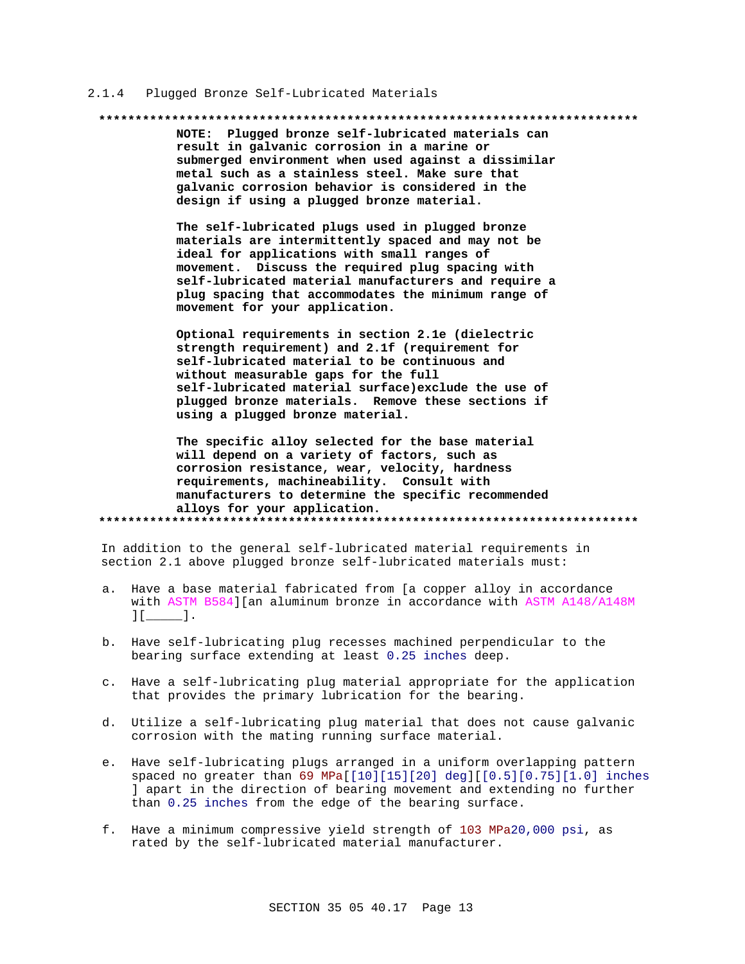#### Plugged Bronze Self-Lubricated Materials  $2.1.4$

#### 

NOTE: Plugged bronze self-lubricated materials can result in galvanic corrosion in a marine or submerged environment when used against a dissimilar metal such as a stainless steel. Make sure that galvanic corrosion behavior is considered in the design if using a plugged bronze material.

The self-lubricated plugs used in plugged bronze materials are intermittently spaced and may not be ideal for applications with small ranges of movement. Discuss the required plug spacing with self-lubricated material manufacturers and require a plug spacing that accommodates the minimum range of movement for your application.

Optional requirements in section 2.1e (dielectric strength requirement) and 2.1f (requirement for self-lubricated material to be continuous and without measurable gaps for the full self-lubricated material surface) exclude the use of plugged bronze materials. Remove these sections if using a plugged bronze material.

The specific alloy selected for the base material will depend on a variety of factors, such as corrosion resistance, wear, velocity, hardness requirements, machineability. Consult with manufacturers to determine the specific recommended alloys for your application. 

In addition to the general self-lubricated material requirements in section 2.1 above plugged bronze self-lubricated materials must:

- a. Have a base material fabricated from [a copper alloy in accordance with ASTM B584] [an aluminum bronze in accordance with ASTM A148/A148M  $11 \quad 1.$
- b. Have self-lubricating plug recesses machined perpendicular to the bearing surface extending at least 0.25 inches deep.
- c. Have a self-lubricating plug material appropriate for the application that provides the primary lubrication for the bearing.
- d. Utilize a self-lubricating plug material that does not cause galvanic corrosion with the mating running surface material.
- e. Have self-lubricating plugs arranged in a uniform overlapping pattern spaced no greater than 69 MPa[[10][15][20] deg][[0.5][0.75][1.0] inches ] apart in the direction of bearing movement and extending no further than 0.25 inches from the edge of the bearing surface.
- f. Have a minimum compressive yield strength of 103 MPa20,000 psi, as rated by the self-lubricated material manufacturer.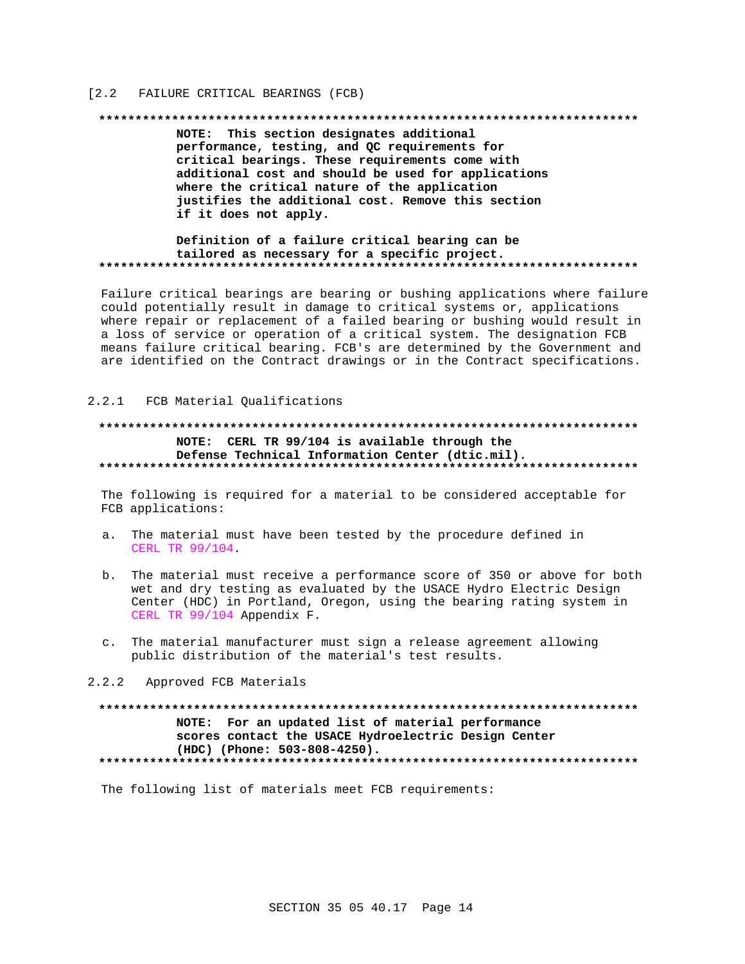## [2.2 FAILURE CRITICAL BEARINGS (FCB)

#### 

NOTE: This section designates additional performance, testing, and QC requirements for critical bearings. These requirements come with additional cost and should be used for applications where the critical nature of the application justifies the additional cost. Remove this section if it does not apply.

## Definition of a failure critical bearing can be tailored as necessary for a specific project.

Failure critical bearings are bearing or bushing applications where failure could potentially result in damage to critical systems or, applications where repair or replacement of a failed bearing or bushing would result in a loss of service or operation of a critical system. The designation FCB means failure critical bearing. FCB's are determined by the Government and are identified on the Contract drawings or in the Contract specifications.

## 2.2.1 FCB Material Qualifications

## NOTE: CERL TR 99/104 is available through the Defense Technical Information Center (dtic.mil).

The following is required for a material to be considered acceptable for FCB applications:

- a. The material must have been tested by the procedure defined in CERL TR 99/104.
- b. The material must receive a performance score of 350 or above for both wet and dry testing as evaluated by the USACE Hydro Electric Design Center (HDC) in Portland, Oregon, using the bearing rating system in CERL TR 99/104 Appendix F.
- c. The material manufacturer must sign a release agreement allowing public distribution of the material's test results.

### 2.2.2 Approved FCB Materials

## NOTE: For an updated list of material performance scores contact the USACE Hydroelectric Design Center (HDC) (Phone: 503-808-4250). \*\*\*\*\*\*\*\*\*\*\*\*\*\*\*\*\*\*\*\*\*\*\*\*\*\*\*\*\*

The following list of materials meet FCB requirements: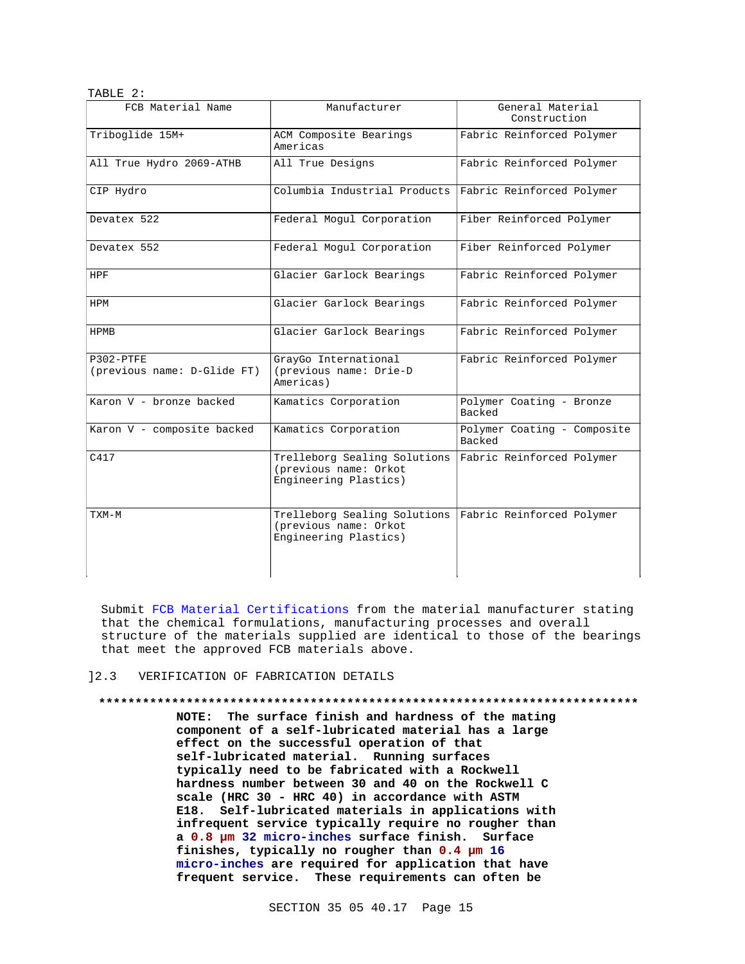| TABLE 2:                                   |                                                                                |                                       |
|--------------------------------------------|--------------------------------------------------------------------------------|---------------------------------------|
| FCB Material Name                          | Manufacturer                                                                   | General Material<br>Construction      |
| Triboglide 15M+                            | ACM Composite Bearings<br>Americas                                             | Fabric Reinforced Polymer             |
| All True Hydro 2069-ATHB                   | All True Designs                                                               | Fabric Reinforced Polymer             |
| CIP Hydro                                  | Columbia Industrial Products                                                   | Fabric Reinforced Polymer             |
| Devatex 522                                | Federal Mogul Corporation                                                      | Fiber Reinforced Polymer              |
| Devatex 552                                | Federal Mogul Corporation                                                      | Fiber Reinforced Polymer              |
| HPF                                        | Glacier Garlock Bearings                                                       | Fabric Reinforced Polymer             |
| HPM                                        | Glacier Garlock Bearings                                                       | Fabric Reinforced Polymer             |
| HPMB                                       | Glacier Garlock Bearings                                                       | Fabric Reinforced Polymer             |
| $P302-PTFE$<br>(previous name: D-Glide FT) | GrayGo International<br>(previous name: Drie-D<br>Americas)                    | Fabric Reinforced Polymer             |
| Karon V - bronze backed                    | Kamatics Corporation                                                           | Polymer Coating - Bronze<br>Backed    |
| Karon V - composite backed                 | Kamatics Corporation                                                           | Polymer Coating - Composite<br>Backed |
| C417                                       | Trelleborg Sealing Solutions<br>(previous name: Orkot<br>Engineering Plastics) | Fabric Reinforced Polymer             |
| TXM-M                                      | Trelleborg Sealing Solutions<br>(previous name: Orkot<br>Engineering Plastics) | Fabric Reinforced Polymer             |

Submit FCB Material Certifications from the material manufacturer stating that the chemical formulations, manufacturing processes and overall structure of the materials supplied are identical to those of the bearings that meet the approved FCB materials above.

## ]2.3 VERIFICATION OF FABRICATION DETAILS

**\*\*\*\*\*\*\*\*\*\*\*\*\*\*\*\*\*\*\*\*\*\*\*\*\*\*\*\*\*\*\*\*\*\*\*\*\*\*\*\*\*\*\*\*\*\*\*\*\*\*\*\*\*\*\*\*\*\*\*\*\*\*\*\*\*\*\*\*\*\*\*\*\*\* NOTE: The surface finish and hardness of the mating component of a self-lubricated material has a large effect on the successful operation of that self-lubricated material. Running surfaces typically need to be fabricated with a Rockwell hardness number between 30 and 40 on the Rockwell C scale (HRC 30 - HRC 40) in accordance with ASTM E18. Self-lubricated materials in applications with infrequent service typically require no rougher than a 0.8 µm 32 micro-inches surface finish. Surface finishes, typically no rougher than 0.4 µm 16 micro-inches are required for application that have frequent service. These requirements can often be**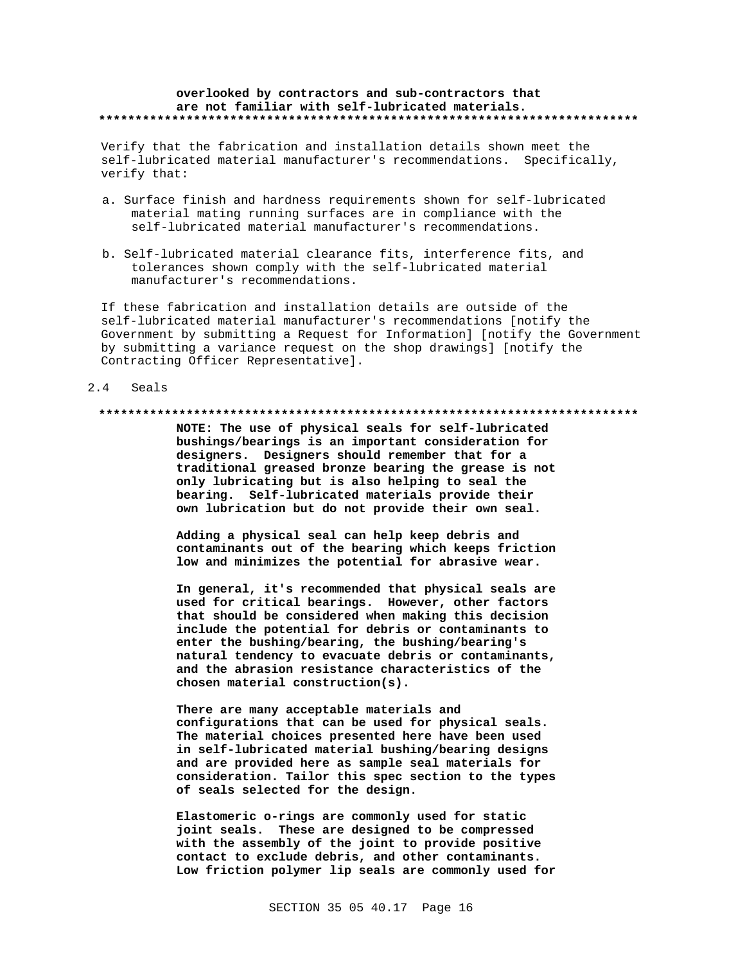### overlooked by contractors and sub-contractors that are not familiar with self-lubricated materials.

Verify that the fabrication and installation details shown meet the self-lubricated material manufacturer's recommendations. Specifically, verify that:

- a. Surface finish and hardness requirements shown for self-lubricated material mating running surfaces are in compliance with the self-lubricated material manufacturer's recommendations.
- b. Self-lubricated material clearance fits, interference fits, and tolerances shown comply with the self-lubricated material manufacturer's recommendations.

If these fabrication and installation details are outside of the self-lubricated material manufacturer's recommendations [notify the Government by submitting a Request for Information] [notify the Government by submitting a variance request on the shop drawings] [notify the Contracting Officer Representative].

#### $2.4$ Seals

### 

NOTE: The use of physical seals for self-lubricated bushings/bearings is an important consideration for designers. Designers should remember that for a traditional greased bronze bearing the grease is not only lubricating but is also helping to seal the bearing. Self-lubricated materials provide their own lubrication but do not provide their own seal.

Adding a physical seal can help keep debris and contaminants out of the bearing which keeps friction low and minimizes the potential for abrasive wear.

In general, it's recommended that physical seals are used for critical bearings. However, other factors that should be considered when making this decision include the potential for debris or contaminants to enter the bushing/bearing, the bushing/bearing's natural tendency to evacuate debris or contaminants, and the abrasion resistance characteristics of the chosen material construction(s).

There are many acceptable materials and configurations that can be used for physical seals. The material choices presented here have been used in self-lubricated material bushing/bearing designs and are provided here as sample seal materials for consideration. Tailor this spec section to the types of seals selected for the design.

Elastomeric o-rings are commonly used for static joint seals. These are designed to be compressed with the assembly of the joint to provide positive contact to exclude debris, and other contaminants. Low friction polymer lip seals are commonly used for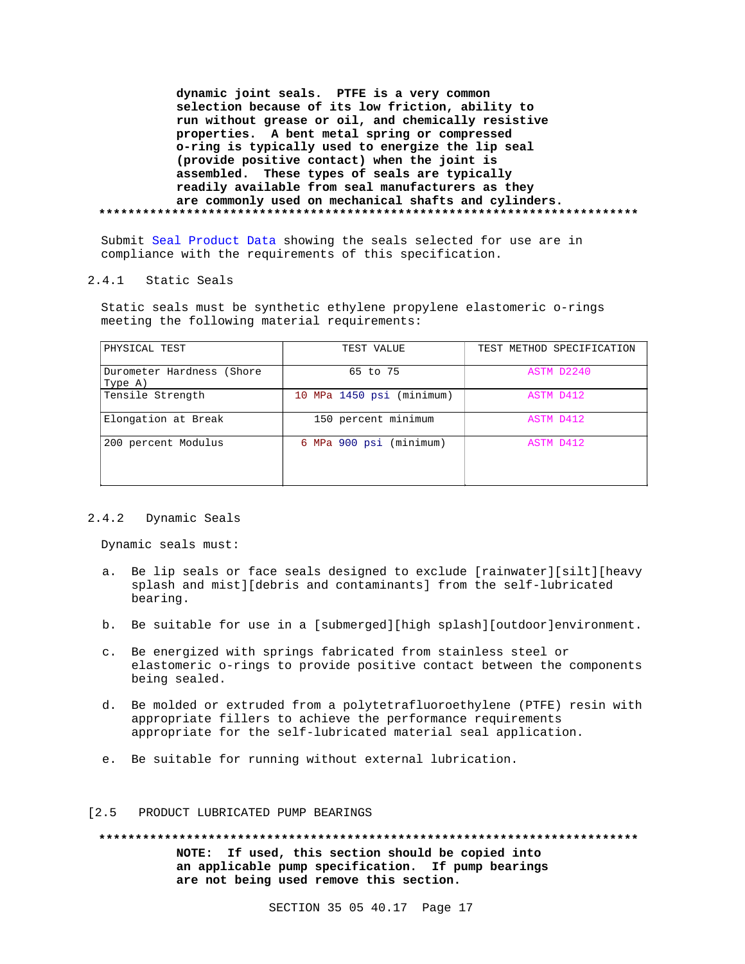**dynamic joint seals. PTFE is a very common selection because of its low friction, ability to run without grease or oil, and chemically resistive properties. A bent metal spring or compressed o-ring is typically used to energize the lip seal (provide positive contact) when the joint is assembled. These types of seals are typically readily available from seal manufacturers as they are commonly used on mechanical shafts and cylinders. \*\*\*\*\*\*\*\*\*\*\*\*\*\*\*\*\*\*\*\*\*\*\*\*\*\*\*\*\*\*\*\*\*\*\*\*\*\*\*\*\*\*\*\*\*\*\*\*\*\*\*\*\*\*\*\*\*\*\*\*\*\*\*\*\*\*\*\*\*\*\*\*\*\***

Submit Seal Product Data showing the seals selected for use are in compliance with the requirements of this specification.

## 2.4.1 Static Seals

Static seals must be synthetic ethylene propylene elastomeric o-rings meeting the following material requirements:

| PHYSICAL TEST                        | TEST VALUE                | TEST METHOD SPECIFICATION |
|--------------------------------------|---------------------------|---------------------------|
| Durometer Hardness (Shore<br>Type A) | 65 to 75                  | ASTM D2240                |
| Tensile Strength                     | 10 MPa 1450 psi (minimum) | ASTM D412                 |
| Elongation at Break                  | 150 percent minimum       | ASTM D412                 |
| 200 percent Modulus                  | 6 MPa 900 psi (minimum)   | ASTM D412                 |

## 2.4.2 Dynamic Seals

Dynamic seals must:

- a. Be lip seals or face seals designed to exclude [rainwater][silt][heavy splash and mist][debris and contaminants] from the self-lubricated bearing.
- b. Be suitable for use in a [submerged][high splash][outdoor]environment.
- c. Be energized with springs fabricated from stainless steel or elastomeric o-rings to provide positive contact between the components being sealed.
- d. Be molded or extruded from a polytetrafluoroethylene (PTFE) resin with appropriate fillers to achieve the performance requirements appropriate for the self-lubricated material seal application.
- e. Be suitable for running without external lubrication.

### [2.5 PRODUCT LUBRICATED PUMP BEARINGS

**\*\*\*\*\*\*\*\*\*\*\*\*\*\*\*\*\*\*\*\*\*\*\*\*\*\*\*\*\*\*\*\*\*\*\*\*\*\*\*\*\*\*\*\*\*\*\*\*\*\*\*\*\*\*\*\*\*\*\*\*\*\*\*\*\*\*\*\*\*\*\*\*\*\* NOTE: If used, this section should be copied into an applicable pump specification. If pump bearings are not being used remove this section.**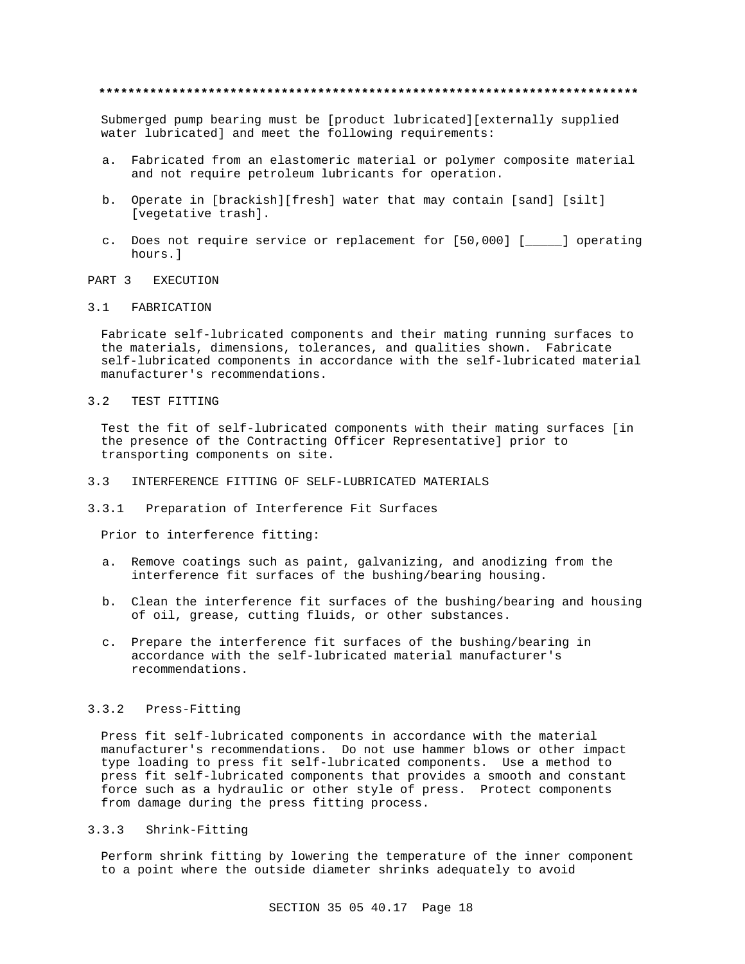## **\*\*\*\*\*\*\*\*\*\*\*\*\*\*\*\*\*\*\*\*\*\*\*\*\*\*\*\*\*\*\*\*\*\*\*\*\*\*\*\*\*\*\*\*\*\*\*\*\*\*\*\*\*\*\*\*\*\*\*\*\*\*\*\*\*\*\*\*\*\*\*\*\*\***

Submerged pump bearing must be [product lubricated][externally supplied water lubricated] and meet the following requirements:

- a. Fabricated from an elastomeric material or polymer composite material and not require petroleum lubricants for operation.
- b. Operate in [brackish][fresh] water that may contain [sand] [silt] [vegetative trash].
- c. Does not require service or replacement for [50,000] [\_\_\_\_\_] operating hours.]

# PART 3 EXECUTION

## 3.1 FABRICATION

Fabricate self-lubricated components and their mating running surfaces to the materials, dimensions, tolerances, and qualities shown. Fabricate self-lubricated components in accordance with the self-lubricated material manufacturer's recommendations.

### 3.2 TEST FITTING

Test the fit of self-lubricated components with their mating surfaces [in the presence of the Contracting Officer Representative] prior to transporting components on site.

- 3.3 INTERFERENCE FITTING OF SELF-LUBRICATED MATERIALS
- 3.3.1 Preparation of Interference Fit Surfaces

Prior to interference fitting:

- a. Remove coatings such as paint, galvanizing, and anodizing from the interference fit surfaces of the bushing/bearing housing.
- b. Clean the interference fit surfaces of the bushing/bearing and housing of oil, grease, cutting fluids, or other substances.
- c. Prepare the interference fit surfaces of the bushing/bearing in accordance with the self-lubricated material manufacturer's recommendations.

### 3.3.2 Press-Fitting

Press fit self-lubricated components in accordance with the material manufacturer's recommendations. Do not use hammer blows or other impact type loading to press fit self-lubricated components. Use a method to press fit self-lubricated components that provides a smooth and constant force such as a hydraulic or other style of press. Protect components from damage during the press fitting process.

3.3.3 Shrink-Fitting

Perform shrink fitting by lowering the temperature of the inner component to a point where the outside diameter shrinks adequately to avoid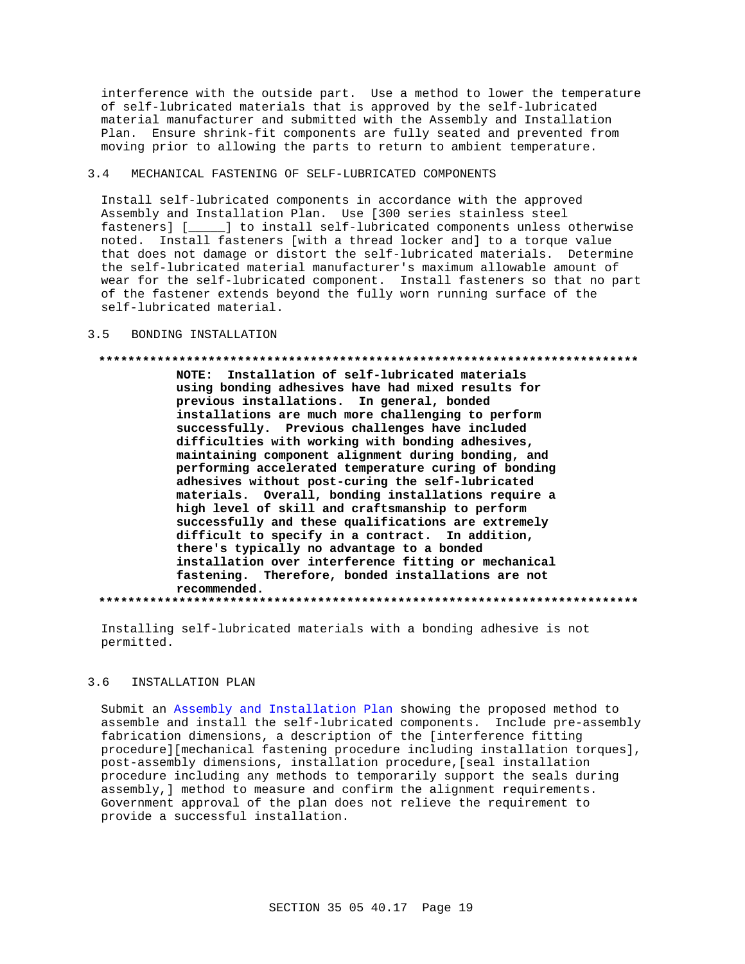interference with the outside part. Use a method to lower the temperature of self-lubricated materials that is approved by the self-lubricated material manufacturer and submitted with the Assembly and Installation Plan. Ensure shrink-fit components are fully seated and prevented from moving prior to allowing the parts to return to ambient temperature.

#### $3.4$ MECHANICAL FASTENING OF SELF-LUBRICATED COMPONENTS

Install self-lubricated components in accordance with the approved Assembly and Installation Plan. Use [300 series stainless steel fasteners] [\_\_\_\_\_] to install self-lubricated components unless otherwise noted. Install fasteners [with a thread locker and] to a torque value that does not damage or distort the self-lubricated materials. Determine the self-lubricated material manufacturer's maximum allowable amount of wear for the self-lubricated component. Install fasteners so that no part of the fastener extends beyond the fully worn running surface of the self-lubricated material.

#### $3.5$ BONDING INSTALLATION

### 

NOTE: Installation of self-lubricated materials using bonding adhesives have had mixed results for previous installations. In general, bonded installations are much more challenging to perform successfully. Previous challenges have included difficulties with working with bonding adhesives, maintaining component alignment during bonding, and performing accelerated temperature curing of bonding adhesives without post-curing the self-lubricated materials. Overall, bonding installations require a high level of skill and craftsmanship to perform successfully and these qualifications are extremely difficult to specify in a contract. In addition, there's typically no advantage to a bonded installation over interference fitting or mechanical fastening. Therefore, bonded installations are not recommended.

Installing self-lubricated materials with a bonding adhesive is not permitted.

#### $3.6$ INSTALLATION PLAN

Submit an Assembly and Installation Plan showing the proposed method to assemble and install the self-lubricated components. Include pre-assembly fabrication dimensions, a description of the [interference fitting procedure][mechanical fastening procedure including installation torques], post-assembly dimensions, installation procedure, [seal installation procedure including any methods to temporarily support the seals during assembly, ] method to measure and confirm the alignment requirements. Government approval of the plan does not relieve the requirement to provide a successful installation.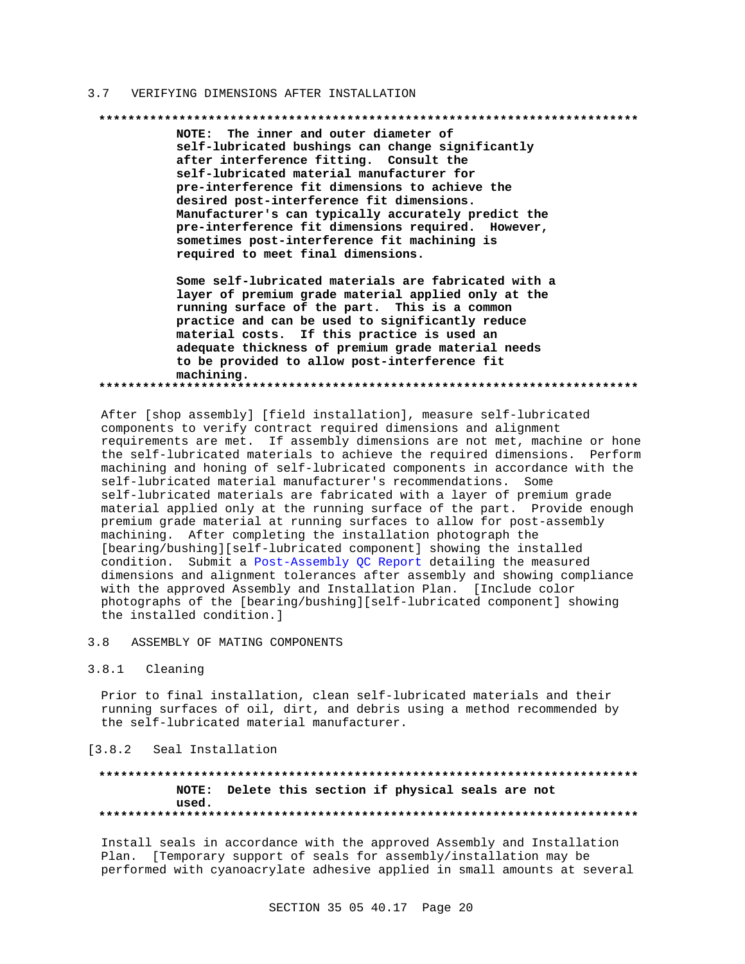#### $3.7$ VERIFYING DIMENSIONS AFTER INSTALLATION

#### 

NOTE: The inner and outer diameter of self-lubricated bushings can change significantly after interference fitting. Consult the self-lubricated material manufacturer for pre-interference fit dimensions to achieve the desired post-interference fit dimensions. Manufacturer's can typically accurately predict the pre-interference fit dimensions required. However, sometimes post-interference fit machining is required to meet final dimensions.

Some self-lubricated materials are fabricated with a layer of premium grade material applied only at the running surface of the part. This is a common practice and can be used to significantly reduce material costs. If this practice is used an adequate thickness of premium grade material needs to be provided to allow post-interference fit machining. 

After [shop assembly] [field installation], measure self-lubricated components to verify contract required dimensions and alignment requirements are met. If assembly dimensions are not met, machine or hone the self-lubricated materials to achieve the required dimensions. Perform machining and honing of self-lubricated components in accordance with the self-lubricated material manufacturer's recommendations. Some self-lubricated materials are fabricated with a layer of premium grade material applied only at the running surface of the part. Provide enough premium grade material at running surfaces to allow for post-assembly machining. After completing the installation photograph the [bearing/bushing][self-lubricated component] showing the installed condition. Submit a Post-Assembly QC Report detailing the measured dimensions and alignment tolerances after assembly and showing compliance with the approved Assembly and Installation Plan. [Include color photographs of the [bearing/bushing][self-lubricated component] showing the installed condition.]

#### $3.8$ ASSEMBLY OF MATING COMPONENTS

#### $3.8.1$ Cleaning

Prior to final installation, clean self-lubricated materials and their running surfaces of oil, dirt, and debris using a method recommended by the self-lubricated material manufacturer.

## [3.8.2 Seal Installation

## NOTE: Delete this section if physical seals are not used.

Install seals in accordance with the approved Assembly and Installation Plan. [Temporary support of seals for assembly/installation may be performed with cyanoacrylate adhesive applied in small amounts at several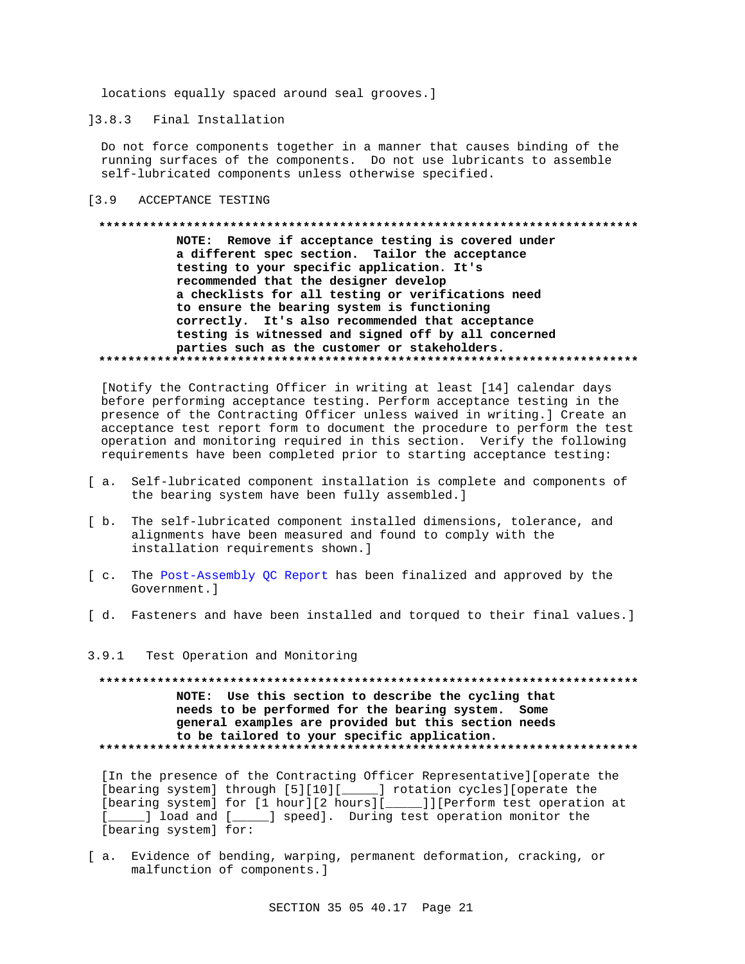locations equally spaced around seal grooves.]

13.8.3 Final Installation

Do not force components together in a manner that causes binding of the running surfaces of the components. Do not use lubricants to assemble self-lubricated components unless otherwise specified.

#### $[3.9]$ ACCEPTANCE TESTING

## NOTE: Remove if acceptance testing is covered under a different spec section. Tailor the acceptance testing to your specific application. It's recommended that the designer develop a checklists for all testing or verifications need to ensure the bearing system is functioning correctly. It's also recommended that acceptance testing is witnessed and signed off by all concerned parties such as the customer or stakeholders.

[Notify the Contracting Officer in writing at least [14] calendar days before performing acceptance testing. Perform acceptance testing in the presence of the Contracting Officer unless waived in writing.] Create an acceptance test report form to document the procedure to perform the test operation and monitoring required in this section. Verify the following requirements have been completed prior to starting acceptance testing:

- [ a. Self-lubricated component installation is complete and components of the bearing system have been fully assembled.]
- [ b. The self-lubricated component installed dimensions, tolerance, and alignments have been measured and found to comply with the installation requirements shown.]
- [ c. The Post-Assembly QC Report has been finalized and approved by the Government. 1
- [ d. Fasteners and have been installed and torqued to their final values.]
- $3.9.1$ Test Operation and Monitoring

NOTE: Use this section to describe the cycling that needs to be performed for the bearing system. Some general examples are provided but this section needs to be tailored to your specific application. 

[In the presence of the Contracting Officer Representative][operate the [bearing system] through [5][10][\_\_\_\_\_] rotation cycles][operate the [bearing system] for [1 hour][2 hours][\_\_\_\_\_]][Perform test operation at  $\mathbf{L}$ [bearing system] for:

[a. Evidence of bending, warping, permanent deformation, cracking, or malfunction of components.]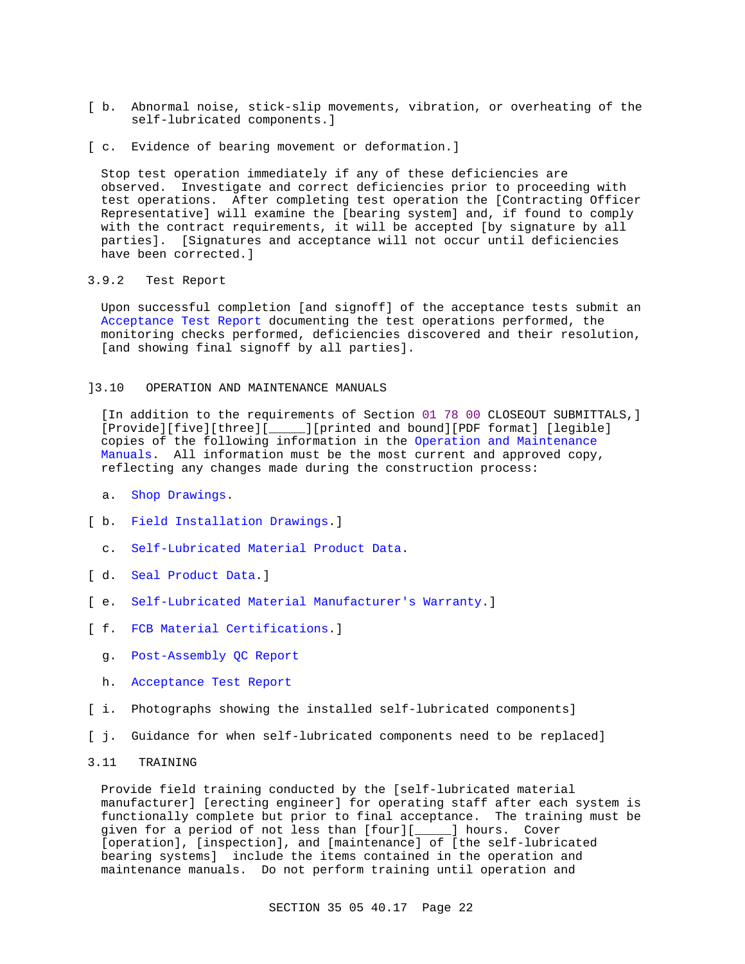- [ b. Abnormal noise, stick-slip movements, vibration, or overheating of the self-lubricated components.]
- [ c. Evidence of bearing movement or deformation.]

Stop test operation immediately if any of these deficiencies are observed. Investigate and correct deficiencies prior to proceeding with test operations. After completing test operation the [Contracting Officer Representative] will examine the [bearing system] and, if found to comply with the contract requirements, it will be accepted [by signature by all parties]. [Signatures and acceptance will not occur until deficiencies have been corrected.]

## 3.9.2 Test Report

Upon successful completion [and signoff] of the acceptance tests submit an Acceptance Test Report documenting the test operations performed, the monitoring checks performed, deficiencies discovered and their resolution, [and showing final signoff by all parties].

## ]3.10 OPERATION AND MAINTENANCE MANUALS

[In addition to the requirements of Section 01 78 00 CLOSEOUT SUBMITTALS,] [Provide][five][three][\_\_\_\_\_][printed and bound][PDF format] [legible] copies of the following information in the Operation and Maintenance Manuals. All information must be the most current and approved copy, reflecting any changes made during the construction process:

- a. Shop Drawings.
- [ b. Field Installation Drawings.]
	- c. Self-Lubricated Material Product Data.
- [ d. Seal Product Data.]
- [ e. Self-Lubricated Material Manufacturer's Warranty.]
- [ f. FCB Material Certifications.]
	- g. Post-Assembly QC Report
	- h. Acceptance Test Report
- [ i. Photographs showing the installed self-lubricated components]
- [ j. Guidance for when self-lubricated components need to be replaced]
- 3.11 TRAINING

Provide field training conducted by the [self-lubricated material manufacturer] [erecting engineer] for operating staff after each system is functionally complete but prior to final acceptance. The training must be given for a period of not less than [four][\_\_\_\_\_] hours. Cover [operation], [inspection], and [maintenance] of [the self-lubricated bearing systems] include the items contained in the operation and maintenance manuals. Do not perform training until operation and